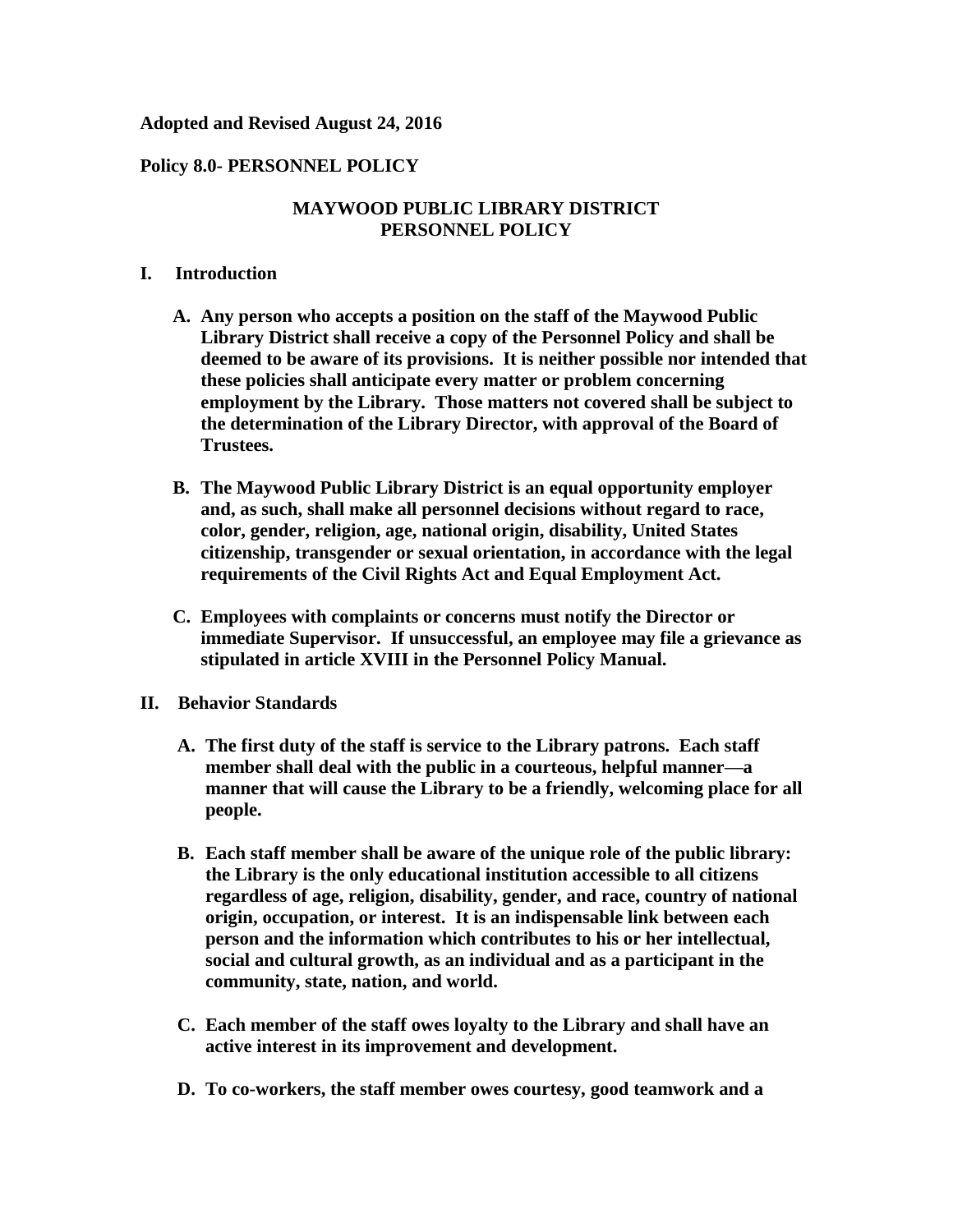## **Adopted and Revised August 24, 2016**

## **Policy 8.0- PERSONNEL POLICY**

# **MAYWOOD PUBLIC LIBRARY DISTRICT PERSONNEL POLICY**

## **I. Introduction**

- **A. Any person who accepts a position on the staff of the Maywood Public Library District shall receive a copy of the Personnel Policy and shall be deemed to be aware of its provisions. It is neither possible nor intended that these policies shall anticipate every matter or problem concerning employment by the Library. Those matters not covered shall be subject to the determination of the Library Director, with approval of the Board of Trustees.**
- **B. The Maywood Public Library District is an equal opportunity employer and, as such, shall make all personnel decisions without regard to race, color, gender, religion, age, national origin, disability, United States citizenship, transgender or sexual orientation, in accordance with the legal requirements of the Civil Rights Act and Equal Employment Act.**
- **C. Employees with complaints or concerns must notify the Director or immediate Supervisor. If unsuccessful, an employee may file a grievance as stipulated in article XVIII in the Personnel Policy Manual.**
- **II. Behavior Standards**
	- **A. The first duty of the staff is service to the Library patrons. Each staff member shall deal with the public in a courteous, helpful manner—a manner that will cause the Library to be a friendly, welcoming place for all people.**
	- **B. Each staff member shall be aware of the unique role of the public library: the Library is the only educational institution accessible to all citizens regardless of age, religion, disability, gender, and race, country of national origin, occupation, or interest. It is an indispensable link between each person and the information which contributes to his or her intellectual, social and cultural growth, as an individual and as a participant in the community, state, nation, and world.**
	- **C. Each member of the staff owes loyalty to the Library and shall have an active interest in its improvement and development.**
	- **D. To co-workers, the staff member owes courtesy, good teamwork and a**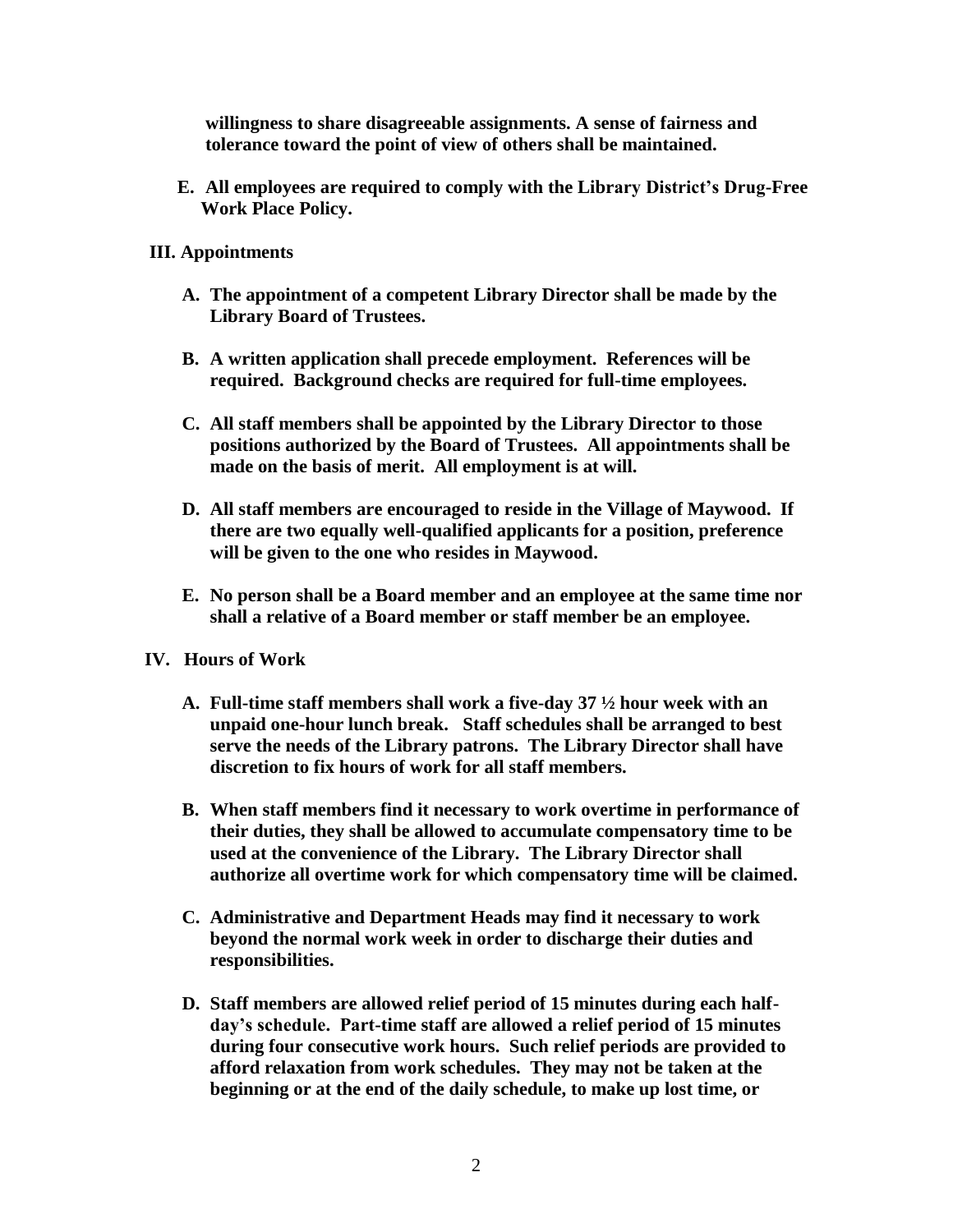**willingness to share disagreeable assignments. A sense of fairness and tolerance toward the point of view of others shall be maintained.**

**E. All employees are required to comply with the Library District's Drug-Free Work Place Policy.**

## **III. Appointments**

- **A. The appointment of a competent Library Director shall be made by the Library Board of Trustees.**
- **B. A written application shall precede employment. References will be required. Background checks are required for full-time employees.**
- **C. All staff members shall be appointed by the Library Director to those positions authorized by the Board of Trustees. All appointments shall be made on the basis of merit. All employment is at will.**
- **D. All staff members are encouraged to reside in the Village of Maywood. If there are two equally well-qualified applicants for a position, preference will be given to the one who resides in Maywood.**
- **E. No person shall be a Board member and an employee at the same time nor shall a relative of a Board member or staff member be an employee.**
- **IV. Hours of Work** 
	- **A. Full-time staff members shall work a five-day 37 ½ hour week with an unpaid one-hour lunch break. Staff schedules shall be arranged to best serve the needs of the Library patrons. The Library Director shall have discretion to fix hours of work for all staff members.**
	- **B. When staff members find it necessary to work overtime in performance of their duties, they shall be allowed to accumulate compensatory time to be used at the convenience of the Library. The Library Director shall authorize all overtime work for which compensatory time will be claimed.**
	- **C. Administrative and Department Heads may find it necessary to work beyond the normal work week in order to discharge their duties and responsibilities.**
	- **D. Staff members are allowed relief period of 15 minutes during each halfday's schedule. Part-time staff are allowed a relief period of 15 minutes during four consecutive work hours. Such relief periods are provided to afford relaxation from work schedules. They may not be taken at the beginning or at the end of the daily schedule, to make up lost time, or**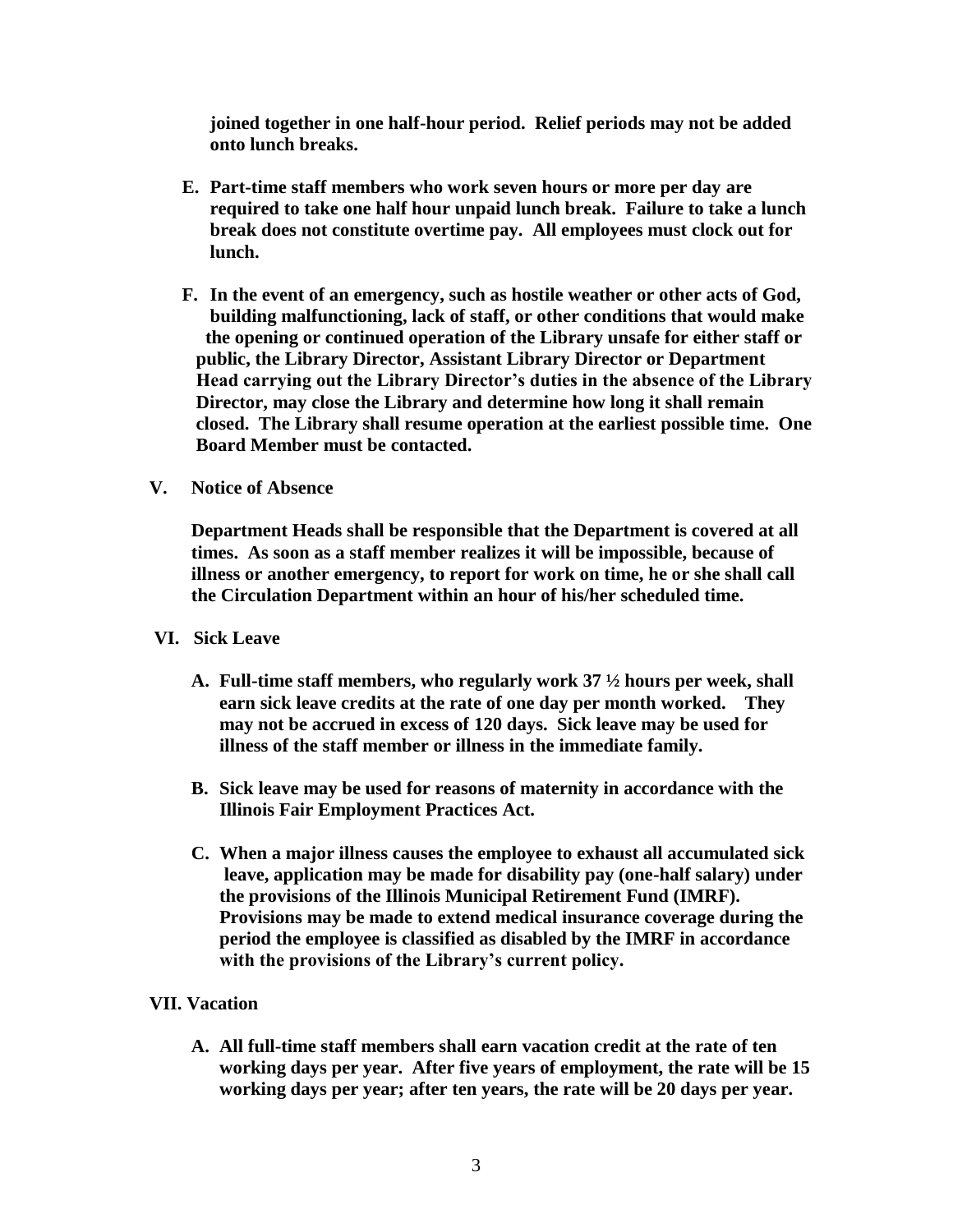**joined together in one half-hour period. Relief periods may not be added onto lunch breaks.**

- **E. Part-time staff members who work seven hours or more per day are required to take one half hour unpaid lunch break. Failure to take a lunch break does not constitute overtime pay. All employees must clock out for lunch.**
- **F. In the event of an emergency, such as hostile weather or other acts of God, building malfunctioning, lack of staff, or other conditions that would make the opening or continued operation of the Library unsafe for either staff or public, the Library Director, Assistant Library Director or Department Head carrying out the Library Director's duties in the absence of the Library Director, may close the Library and determine how long it shall remain closed. The Library shall resume operation at the earliest possible time. One Board Member must be contacted.**
- **V. Notice of Absence**

 **Department Heads shall be responsible that the Department is covered at all times. As soon as a staff member realizes it will be impossible, because of illness or another emergency, to report for work on time, he or she shall call the Circulation Department within an hour of his/her scheduled time.**

- **VI. Sick Leave**
	- **A. Full-time staff members, who regularly work 37 ½ hours per week, shall earn sick leave credits at the rate of one day per month worked. They may not be accrued in excess of 120 days. Sick leave may be used for illness of the staff member or illness in the immediate family.**
	- **B. Sick leave may be used for reasons of maternity in accordance with the Illinois Fair Employment Practices Act.**
	- **C. When a major illness causes the employee to exhaust all accumulated sick leave, application may be made for disability pay (one-half salary) under the provisions of the Illinois Municipal Retirement Fund (IMRF). Provisions may be made to extend medical insurance coverage during the period the employee is classified as disabled by the IMRF in accordance with the provisions of the Library's current policy.**

## **VII. Vacation**

**A. All full-time staff members shall earn vacation credit at the rate of ten working days per year. After five years of employment, the rate will be 15 working days per year; after ten years, the rate will be 20 days per year.**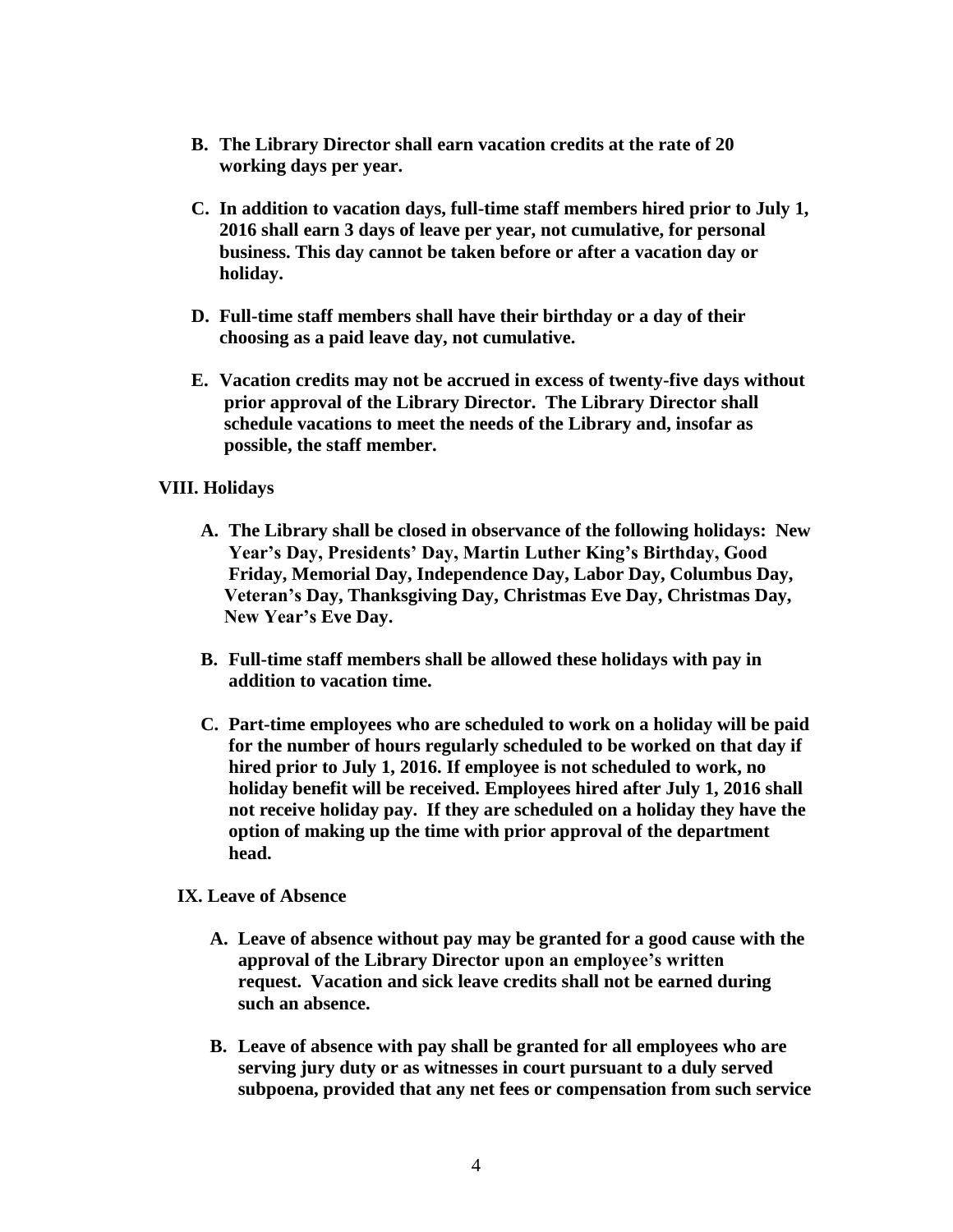- **B. The Library Director shall earn vacation credits at the rate of 20 working days per year.**
- **C. In addition to vacation days, full-time staff members hired prior to July 1, 2016 shall earn 3 days of leave per year, not cumulative, for personal business. This day cannot be taken before or after a vacation day or holiday.**
- **D. Full-time staff members shall have their birthday or a day of their choosing as a paid leave day, not cumulative.**
- **E. Vacation credits may not be accrued in excess of twenty-five days without prior approval of the Library Director. The Library Director shall schedule vacations to meet the needs of the Library and, insofar as possible, the staff member.**

## **VIII. Holidays**

- **A. The Library shall be closed in observance of the following holidays: New Year's Day, Presidents' Day, Martin Luther King's Birthday, Good Friday, Memorial Day, Independence Day, Labor Day, Columbus Day, Veteran's Day, Thanksgiving Day, Christmas Eve Day, Christmas Day, New Year's Eve Day.**
- **B. Full-time staff members shall be allowed these holidays with pay in addition to vacation time.**
- **C. Part-time employees who are scheduled to work on a holiday will be paid for the number of hours regularly scheduled to be worked on that day if hired prior to July 1, 2016. If employee is not scheduled to work, no holiday benefit will be received. Employees hired after July 1, 2016 shall not receive holiday pay. If they are scheduled on a holiday they have the option of making up the time with prior approval of the department head.**

### **IX. Leave of Absence**

- **A. Leave of absence without pay may be granted for a good cause with the approval of the Library Director upon an employee's written request. Vacation and sick leave credits shall not be earned during such an absence.**
- **B. Leave of absence with pay shall be granted for all employees who are serving jury duty or as witnesses in court pursuant to a duly served subpoena, provided that any net fees or compensation from such service**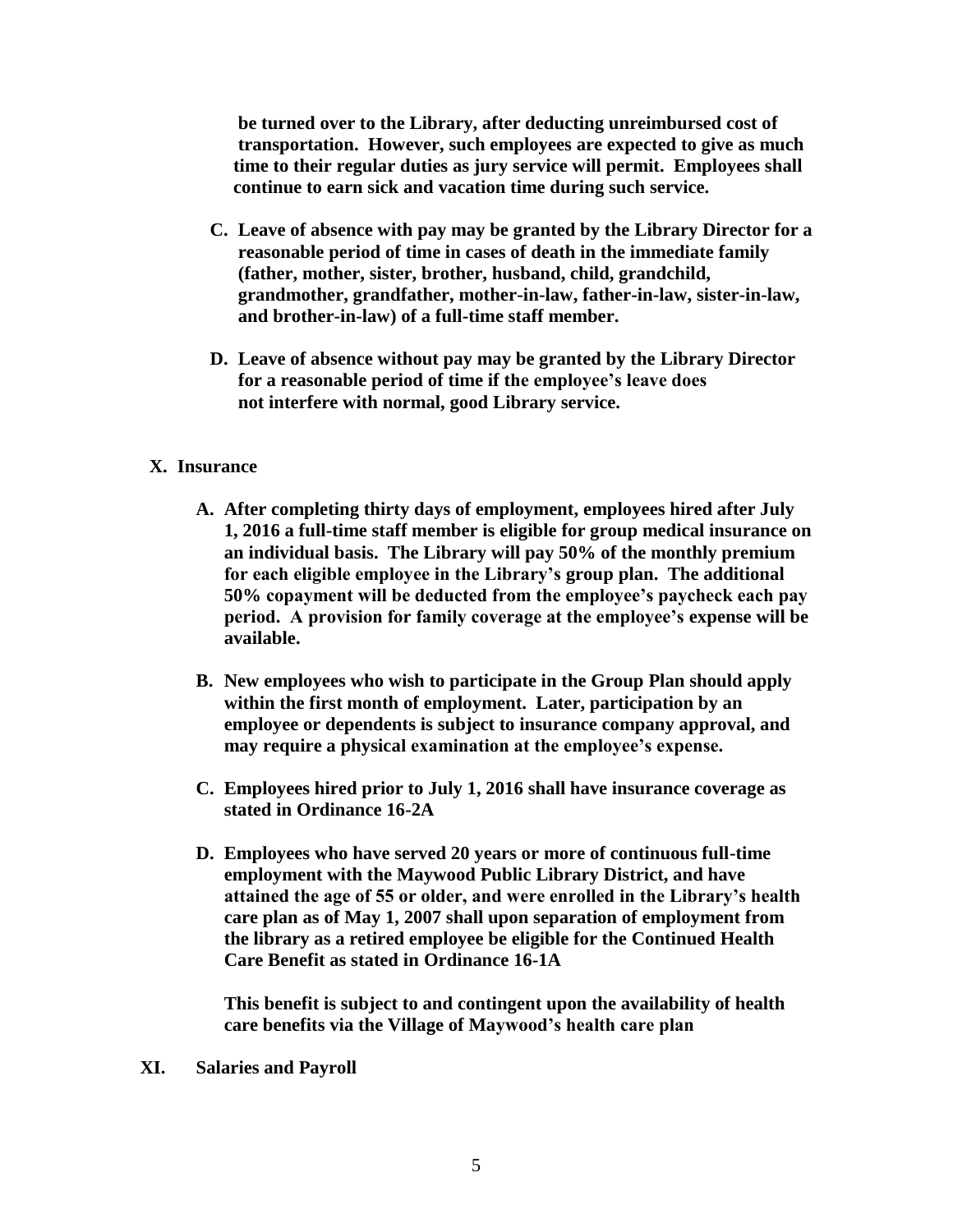**be turned over to the Library, after deducting unreimbursed cost of transportation. However, such employees are expected to give as much time to their regular duties as jury service will permit. Employees shall continue to earn sick and vacation time during such service.**

- **C. Leave of absence with pay may be granted by the Library Director for a reasonable period of time in cases of death in the immediate family (father, mother, sister, brother, husband, child, grandchild, grandmother, grandfather, mother-in-law, father-in-law, sister-in-law, and brother-in-law) of a full-time staff member.**
- **D. Leave of absence without pay may be granted by the Library Director for a reasonable period of time if the employee's leave does not interfere with normal, good Library service.**

## **X. Insurance**

- **A. After completing thirty days of employment, employees hired after July 1, 2016 a full-time staff member is eligible for group medical insurance on an individual basis. The Library will pay 50% of the monthly premium for each eligible employee in the Library's group plan. The additional 50% copayment will be deducted from the employee's paycheck each pay period. A provision for family coverage at the employee's expense will be available.**
- **B. New employees who wish to participate in the Group Plan should apply within the first month of employment. Later, participation by an employee or dependents is subject to insurance company approval, and may require a physical examination at the employee's expense.**
- **C. Employees hired prior to July 1, 2016 shall have insurance coverage as stated in Ordinance 16-2A**
- **D. Employees who have served 20 years or more of continuous full-time employment with the Maywood Public Library District, and have attained the age of 55 or older, and were enrolled in the Library's health care plan as of May 1, 2007 shall upon separation of employment from the library as a retired employee be eligible for the Continued Health Care Benefit as stated in Ordinance 16-1A**

**This benefit is subject to and contingent upon the availability of health care benefits via the Village of Maywood's health care plan**

**XI. Salaries and Payroll**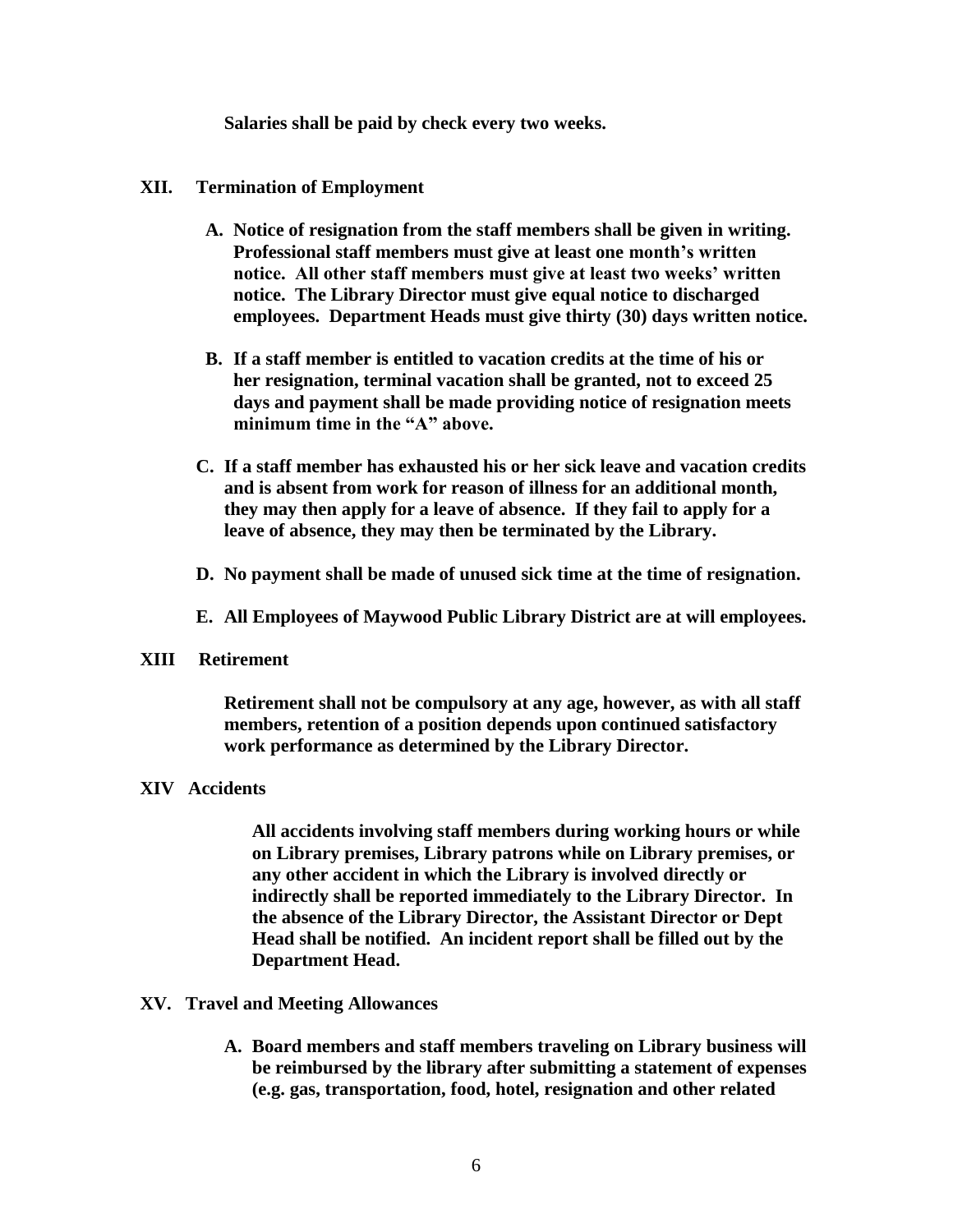**Salaries shall be paid by check every two weeks.**

- **XII. Termination of Employment**
	- **A. Notice of resignation from the staff members shall be given in writing. Professional staff members must give at least one month's written notice. All other staff members must give at least two weeks' written notice. The Library Director must give equal notice to discharged employees. Department Heads must give thirty (30) days written notice.**
	- **B. If a staff member is entitled to vacation credits at the time of his or her resignation, terminal vacation shall be granted, not to exceed 25 days and payment shall be made providing notice of resignation meets minimum time in the "A" above.**
	- **C. If a staff member has exhausted his or her sick leave and vacation credits and is absent from work for reason of illness for an additional month, they may then apply for a leave of absence. If they fail to apply for a leave of absence, they may then be terminated by the Library.**
	- **D. No payment shall be made of unused sick time at the time of resignation.**
	- **E. All Employees of Maywood Public Library District are at will employees.**

### **XIII Retirement**

**Retirement shall not be compulsory at any age, however, as with all staff members, retention of a position depends upon continued satisfactory work performance as determined by the Library Director.**

### **XIV Accidents**

**All accidents involving staff members during working hours or while on Library premises, Library patrons while on Library premises, or any other accident in which the Library is involved directly or indirectly shall be reported immediately to the Library Director. In the absence of the Library Director, the Assistant Director or Dept Head shall be notified. An incident report shall be filled out by the Department Head.**

- **XV. Travel and Meeting Allowances**
	- **A. Board members and staff members traveling on Library business will be reimbursed by the library after submitting a statement of expenses (e.g. gas, transportation, food, hotel, resignation and other related**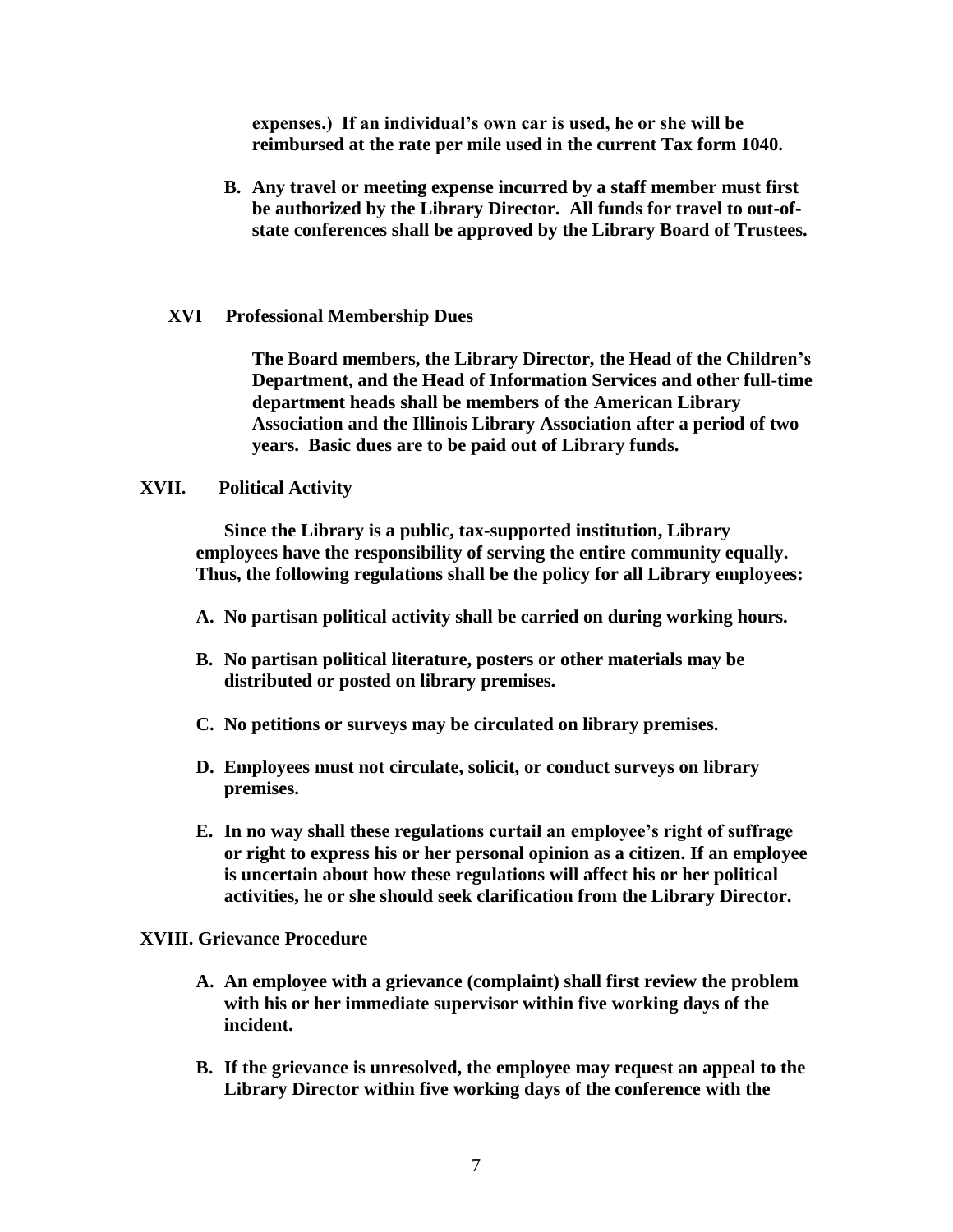**expenses.) If an individual's own car is used, he or she will be reimbursed at the rate per mile used in the current Tax form 1040.**

**B. Any travel or meeting expense incurred by a staff member must first be authorized by the Library Director. All funds for travel to out-ofstate conferences shall be approved by the Library Board of Trustees.**

### **XVI Professional Membership Dues**

**The Board members, the Library Director, the Head of the Children's Department, and the Head of Information Services and other full-time department heads shall be members of the American Library Association and the Illinois Library Association after a period of two years. Basic dues are to be paid out of Library funds.** 

#### **XVII. Political Activity**

**Since the Library is a public, tax-supported institution, Library employees have the responsibility of serving the entire community equally. Thus, the following regulations shall be the policy for all Library employees:**

- **A. No partisan political activity shall be carried on during working hours.**
- **B. No partisan political literature, posters or other materials may be distributed or posted on library premises.**
- **C. No petitions or surveys may be circulated on library premises.**
- **D. Employees must not circulate, solicit, or conduct surveys on library premises.**
- **E. In no way shall these regulations curtail an employee's right of suffrage or right to express his or her personal opinion as a citizen. If an employee is uncertain about how these regulations will affect his or her political activities, he or she should seek clarification from the Library Director.**

### **XVIII. Grievance Procedure**

- **A. An employee with a grievance (complaint) shall first review the problem with his or her immediate supervisor within five working days of the incident.**
- **B. If the grievance is unresolved, the employee may request an appeal to the Library Director within five working days of the conference with the**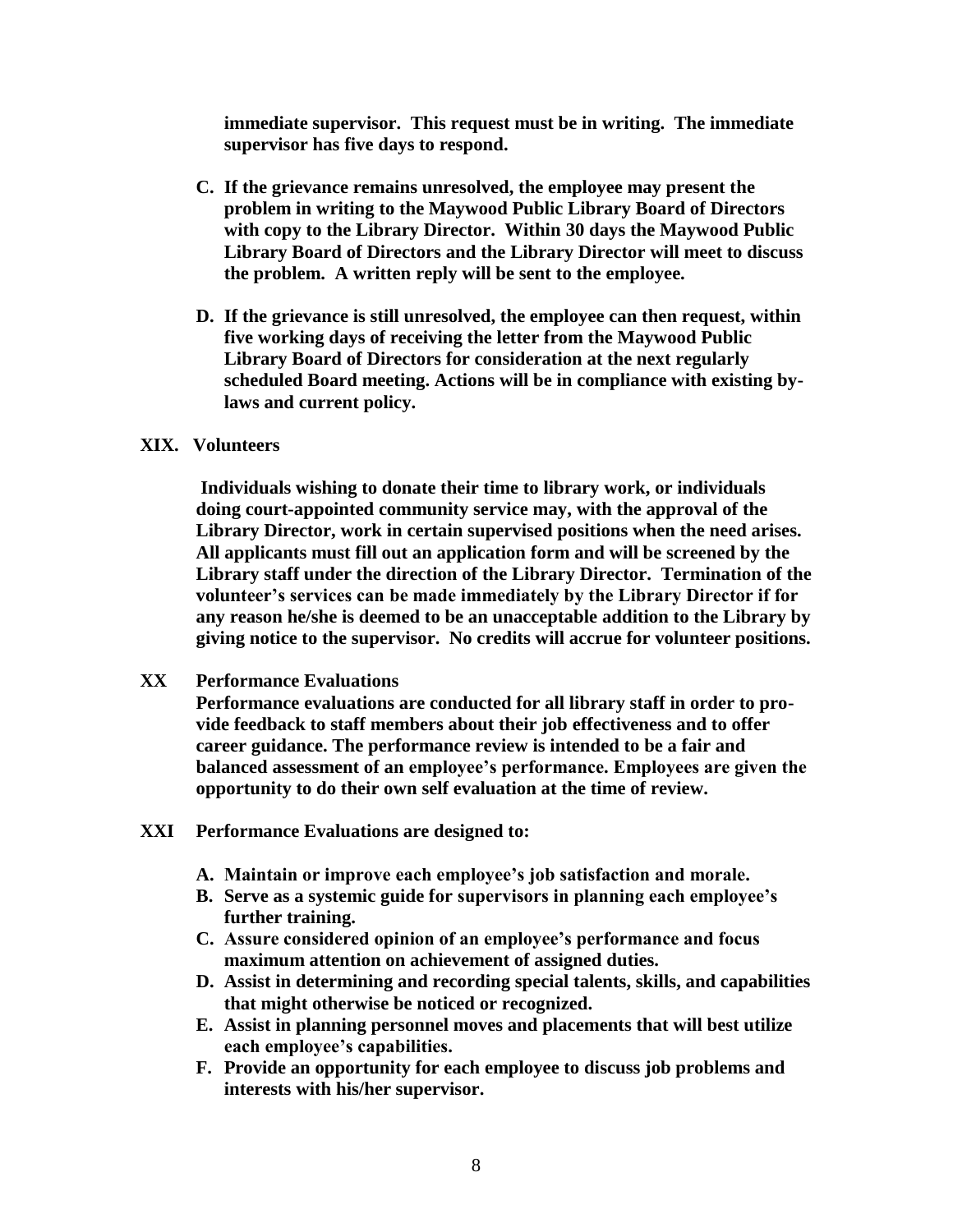**immediate supervisor. This request must be in writing. The immediate supervisor has five days to respond.**

- **C. If the grievance remains unresolved, the employee may present the problem in writing to the Maywood Public Library Board of Directors with copy to the Library Director. Within 30 days the Maywood Public Library Board of Directors and the Library Director will meet to discuss the problem. A written reply will be sent to the employee.**
- **D. If the grievance is still unresolved, the employee can then request, within five working days of receiving the letter from the Maywood Public Library Board of Directors for consideration at the next regularly scheduled Board meeting. Actions will be in compliance with existing bylaws and current policy.**

### **XIX. Volunteers**

 **Individuals wishing to donate their time to library work, or individuals doing court-appointed community service may, with the approval of the Library Director, work in certain supervised positions when the need arises. All applicants must fill out an application form and will be screened by the Library staff under the direction of the Library Director. Termination of the volunteer's services can be made immediately by the Library Director if for any reason he/she is deemed to be an unacceptable addition to the Library by giving notice to the supervisor. No credits will accrue for volunteer positions.**

### **XX Performance Evaluations**

**Performance evaluations are conducted for all library staff in order to provide feedback to staff members about their job effectiveness and to offer career guidance. The performance review is intended to be a fair and balanced assessment of an employee's performance. Employees are given the opportunity to do their own self evaluation at the time of review.**

- **XXI Performance Evaluations are designed to:**
	- **A. Maintain or improve each employee's job satisfaction and morale.**
	- **B. Serve as a systemic guide for supervisors in planning each employee's further training.**
	- **C. Assure considered opinion of an employee's performance and focus maximum attention on achievement of assigned duties.**
	- **D. Assist in determining and recording special talents, skills, and capabilities that might otherwise be noticed or recognized.**
	- **E. Assist in planning personnel moves and placements that will best utilize each employee's capabilities.**
	- **F. Provide an opportunity for each employee to discuss job problems and interests with his/her supervisor.**